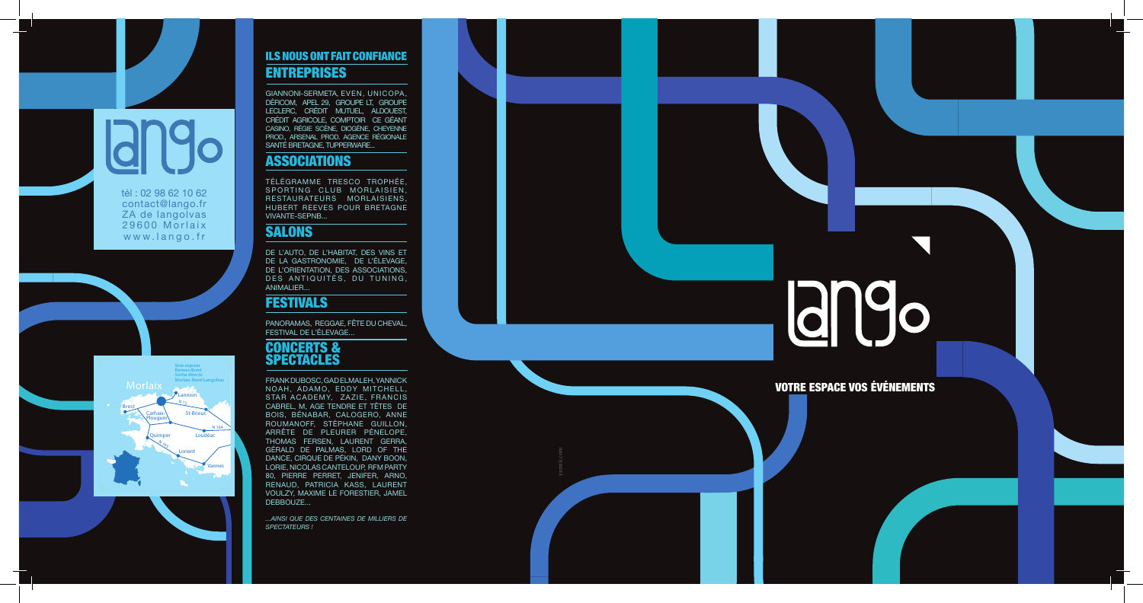VOTRE ESPACE VOS ÉVÉNEMENTS



### ILS NOUS ONT FAIT CONFIANCE ENTREPRISES

GIANNONI-SERMETA, EVEN, UNICOPA, DÉFICOM, APEL 29, GROUPE LT, GROUPE LECLERC, CRÉDIT MUTUEL, ALDOUEST, CRÉDIT AGRICOLE, COMPTOIR CE GÉANT CASINO, RÉGIE SCÈNE, DIOGÈNE, CHEYENNE PROD., ARSENAL PROD. AGENCE RÉGIONALE SANTÉ BRETAGNE, TUPPERWARE...

## ASSOCIATIONS

TÉLÉGRAMME TRESCO TROPHÉE, SPORTING CLUB MORLAISIEN. RESTAURATEURS MORLAISIENS, HUBERT REEVES POUR BRETAGNE VIVANTE-SEPNB...

## **SALONS**

DE L'AUTO, DE L'HABITAT, DES VINS ET DE LA GASTRONOMIE, DE L'ÉLEVAGE, DE L'ORIENTATION, DES ASSOCIATIONS, DES ANTIQUITÉS, DU TUNING, ANIMALIER...

## FESTIVALS

PANORAMAS, REGGAE, FÊTE DU CHEVAL, FESTIVAL DE L'ÉLEVAGE...

## CONCERTS & SPECTACLES

FRANK DUBOSC, GAD ELMALEH, YANNICK NOAH, ADAMO, EDDY MITCHELL, STAR ACADEMY, ZAZIE, FRANCIS CABREL, M, AGE TENDRE ET TÊTES DE BOIS, BÉNABAR, CALOGERO, ANNE ROUMANOFF, STÉPHANE GUILLON, ARRÊTE DE PLEURER PÉNELOPE, THOMAS FERSEN, LAURENT GERRA, GÉRALD DE PALMAS, LORD OF THE DANCE, CIRQUE DE PÉKIN, DANY BOON, LORIE, NICOLAS CANTELOUP, RFM PARTY 80, PIERRE PERRET, JENIFER, ARNO, RENAUD, PATRICIA KASS, LAURENT VOULZY, MAXIME LE FORESTIER, JAMEL DEBBOUZE...

*...AINSI QUE DES CENTAINES DE MILLIERS DE SPECTATEURS !*

# **ango**



tél : 02 98 62 10 62 contact@lango.fr ZA de langolvas 29600 Morlaix www.lango.fr

yamiii.com